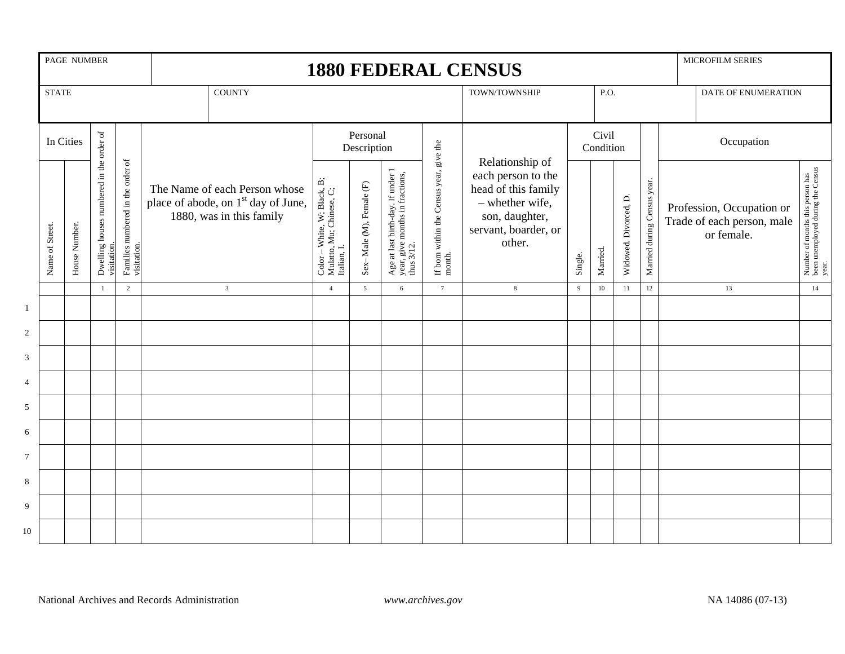|                | PAGE NUMBER<br><b>STATE</b> |               |                                                        |                                                  | MICROFILM SERIES<br><b>1880 FEDERAL CENSUS</b>                                                               |                                                                                                                                |                          |                                                                                 |                                                |                                                                                                                                     |                    |          |                       |                             |  |                                                                       |                                                                                |
|----------------|-----------------------------|---------------|--------------------------------------------------------|--------------------------------------------------|--------------------------------------------------------------------------------------------------------------|--------------------------------------------------------------------------------------------------------------------------------|--------------------------|---------------------------------------------------------------------------------|------------------------------------------------|-------------------------------------------------------------------------------------------------------------------------------------|--------------------|----------|-----------------------|-----------------------------|--|-----------------------------------------------------------------------|--------------------------------------------------------------------------------|
|                |                             |               |                                                        |                                                  | <b>COUNTY</b>                                                                                                |                                                                                                                                |                          |                                                                                 |                                                | TOWN/TOWNSHIP                                                                                                                       |                    | P.O.     |                       |                             |  | DATE OF ENUMERATION                                                   |                                                                                |
|                | In Cities                   |               |                                                        |                                                  |                                                                                                              | Personal<br>Description                                                                                                        |                          |                                                                                 |                                                |                                                                                                                                     | Civil<br>Condition |          |                       |                             |  | Occupation                                                            |                                                                                |
|                | Name of Street.             | House Number. | Dwelling houses numbered in the order of<br>visitation | Families numbered in the order of<br>visitation. | The Name of each Person whose<br>place of abode, on 1 <sup>st</sup> day of June,<br>1880, was in this family | $\begin{array}{ll} \text{Color}-\text{White, W: Black, B;}\\ \text{Mulator, Mu: Chinese, C;}\\ \text{Italian, I.} \end{array}$ | Sex-Male (M), Female (F) | Age at last birth-day. If under 1 year, give months in fractions, thus $3/12$ . | If bom within the Census year, give the month. | Relationship of<br>each person to the<br>head of this family<br>- whether wife,<br>son, daughter,<br>servant, boarder, or<br>other. | Single.            | Married. | Widowed. Divorced, D. | Married during Census year. |  | Profession, Occupation or<br>Trade of each person, male<br>or female. | Number of months this person has<br>been unemployed during the Census<br>year. |
|                |                             |               | $\overline{1}$                                         | $\overline{2}$                                   | $\overline{3}$                                                                                               | $\overline{4}$                                                                                                                 | $\overline{5}$           | 6                                                                               | $7\phantom{.0}$                                | $\bf 8$                                                                                                                             | $\overline{9}$     | $10\,$   | 11                    | $12 \,$                     |  | 13                                                                    | 14                                                                             |
| $\mathbf{1}$   |                             |               |                                                        |                                                  |                                                                                                              |                                                                                                                                |                          |                                                                                 |                                                |                                                                                                                                     |                    |          |                       |                             |  |                                                                       |                                                                                |
| $\sqrt{2}$     |                             |               |                                                        |                                                  |                                                                                                              |                                                                                                                                |                          |                                                                                 |                                                |                                                                                                                                     |                    |          |                       |                             |  |                                                                       |                                                                                |
| $\mathfrak{Z}$ |                             |               |                                                        |                                                  |                                                                                                              |                                                                                                                                |                          |                                                                                 |                                                |                                                                                                                                     |                    |          |                       |                             |  |                                                                       |                                                                                |
| 4              |                             |               |                                                        |                                                  |                                                                                                              |                                                                                                                                |                          |                                                                                 |                                                |                                                                                                                                     |                    |          |                       |                             |  |                                                                       |                                                                                |
| 5              |                             |               |                                                        |                                                  |                                                                                                              |                                                                                                                                |                          |                                                                                 |                                                |                                                                                                                                     |                    |          |                       |                             |  |                                                                       |                                                                                |
| 6              |                             |               |                                                        |                                                  |                                                                                                              |                                                                                                                                |                          |                                                                                 |                                                |                                                                                                                                     |                    |          |                       |                             |  |                                                                       |                                                                                |
| $\tau$         |                             |               |                                                        |                                                  |                                                                                                              |                                                                                                                                |                          |                                                                                 |                                                |                                                                                                                                     |                    |          |                       |                             |  |                                                                       |                                                                                |
| $\,8\,$        |                             |               |                                                        |                                                  |                                                                                                              |                                                                                                                                |                          |                                                                                 |                                                |                                                                                                                                     |                    |          |                       |                             |  |                                                                       |                                                                                |
| 9              |                             |               |                                                        |                                                  |                                                                                                              |                                                                                                                                |                          |                                                                                 |                                                |                                                                                                                                     |                    |          |                       |                             |  |                                                                       |                                                                                |
| 10             |                             |               |                                                        |                                                  |                                                                                                              |                                                                                                                                |                          |                                                                                 |                                                |                                                                                                                                     |                    |          |                       |                             |  |                                                                       |                                                                                |